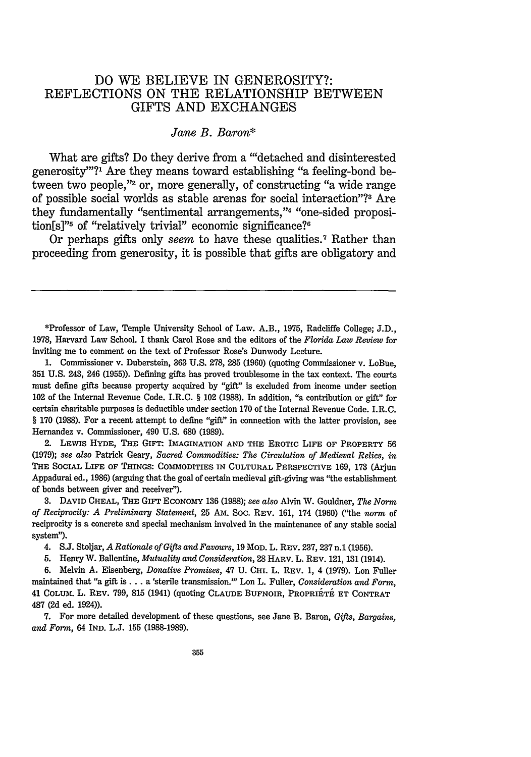## **DO** WE BELIEVE IN GENEROSITY?: REFLECTIONS **ON** THE RELATIONSHIP **BETWEEN** GIFTS **AND EXCHANGES**

## *Jane B. Baron\**

What are gifts? Do they derive from a ""detached and disinterested generosity"?<sup>1</sup> Are they means toward establishing "a feeling-bond between two people,"<sup>2</sup> or, more generally, of constructing "a wide range of possible social worlds as stable arenas for social interaction"?3 Are they fundamentally "sentimental arrangements,"<sup>4</sup> "one-sided proposition[s]"<sup>5</sup> of "relatively trivial" economic significance?<sup>6</sup>

Or perhaps gifts only *seem* to have these qualities.7 Rather than proceeding from generosity, it is possible that gifts are obligatory and

\*Professor of Law, Temple University School of Law. A.B., 1975, Radcliffe College; J.D., 1978, Harvard Law School. I thank Carol Rose and the editors of the *Florida Law Review* for inviting me to comment on the text of Professor Rose's Dunwody Lecture.

1. Commissioner v. Duberstein, **363** U.S. 278, 285 (1960) (quoting Commissioner v. LoBue, 351 U.S. 243, 246 (1955)). Defining gifts has proved troublesome in the tax context. The courts must define gifts because property acquired by "gift" is excluded from income under section 102 of the Internal Revenue Code. I.R.C. § 102 (1988). In addition, "a contribution or gift" for certain charitable purposes is deductible under section 170 of the Internal Revenue Code. I.R.C. § 170 (1988). For a recent attempt to define "gift" in connection with the latter provision, see Hernandez v. Commissioner, 490 U.S. 680 (1989).

2. **LEWIS HYDE, THE GIFT: IMAGINATION AND THE EROTIC LIFE** OF **PROPERTY 56** (1979); *see also* Patrick Geary, *Sacred Commodities: The Circulation of Medieval Relics, in* **THE** SOCIAL LIFE OF THINGS: **COMMODITIES** IN **CULTURAL** PERSPECTIVE 169, 173 (Arjun Appadurai ed., 1986) (arguing that the goal of certain medieval gift-giving was "the establishment of bonds between giver and receiver").

3. DAVID **CHEAL,** THE GIFT **ECONOMY** 136 (1988); *see also* Alvin W. Gouldner, *The Norm of Reciprocity: A Preliminary Statement,* 25 Am. Soc. REV. 161, 174 (1960) ("the *norm* of reciprocity is a concrete and special mechanism involved in the maintenance of any stable social system").

4. S.J. Stoljar, *A Rationale of Gifts and Favours,* 19 **MOD.** L. REV. 237,237 n.1 (1956).

5. Henry W. Ballentine, *Mutuality and Consideration,* 28 HARV. L. REV. 121, 131 (1914).

6. Melvin A. Eisenberg, *Donative Promises,* 47 U. CHI. L. REV. **1,** 4 (1979). Lon Fuller maintained that "a gift is... a 'sterile transmission."' Lon L. Fuller, *Consideration and Form,* 41 COLUm. L. REV. 799, 815 (1941) (quoting **CLAUDE** BUFNOIR, PROPRIETE **ET** CONTRAT 487 (2d ed. 1924)).

7. For more detailed development of these questions, see Jane B. Baron, *Gifts, Bargains, and Form,* 64 IND. L.J. 155 (1988-1989).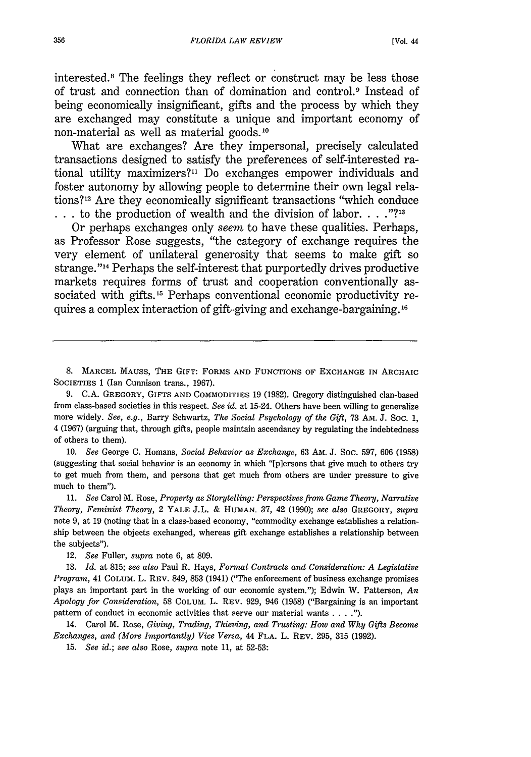interested.<sup>8</sup> The feelings they reflect or construct may be less those of trust and connection than of domination and control.<sup>9</sup> Instead of being economically insignificant, gifts and the process by which they are exchanged may constitute a unique and important economy of non-material as well as material goods.<sup>10</sup>

What are exchanges? Are they impersonal, precisely calculated transactions designed to satisfy the preferences of self-interested rational utility maximizers?" Do exchanges empower individuals and foster autonomy by allowing people to determine their own legal relations?12 Are they economically significant transactions "which conduce **.. .** to the production of wealth and the division of labor. . . **.?13**

Or perhaps exchanges only *seem* to have these qualities. Perhaps, as Professor Rose suggests, "the category of exchange requires the very element of unilateral generosity that seems to make gift so strange.'14 Perhaps the self-interest that purportedly drives productive markets requires forms of trust and cooperation conventionally associated with gifts.<sup>15</sup> Perhaps conventional economic productivity requires a complex interaction of gift-giving and exchange-bargaining.16

**8.** MARCEL MAuss, THE GIFT: FORMS AND FUNCTIONS OF EXCHANGE IN ARCHAIC SOCIETIES 1 (Ian Cunnison trans., 1967).

9. C.A. GREGORY, GIFTS AND COMMODITIES 19 (1982). Gregory distinguished clan-based from class-based societies in this respect. See *id.* at 15-24. Others have been willing to generalize more widely. See, e.g., Barry Schwartz, *The Social Psychology of the* Gift, 73 AM. J. Soc. 1, 4 (1967) (arguing that, through gifts, people maintain ascendancy by regulating the indebtedness of others to them).

10. *See* George C. Homans, *Social Behavior as Exchange,* 63 AM. J. Soc. 597, 606 (1958) (suggesting that social behavior is an economy in which "[p]ersons that give much to others try to get much from them, and persons that get much from others are under pressure to give much to them").

11. *See* Carol M. Rose, *Property as Storytelling: Perspectives from Game Theory, Narrative Theory, Feminist Theory,* 2 YALE J.L. & HUMAN. 37, 42 (1990); *see also* GREGORY, *supra* note 9, at 19 (noting that in a class-based economy, "commodity exchange establishes a relationship between the objects exchanged, whereas gift exchange establishes a relationship between the subjects").

12. *See* Fuller, *supra* note 6, at 809.

13. *Id.* at 815; *see also* Paul R. Hays, *Formal Contracts and Consideration: A Legislative Program,* 41 COLUM. L. REV. 849, 853 (1941) ("The enforcement of business exchange promises plays an important part in the working of our economic system."); Edwin W. Patterson, *An Apology for Consideration,* 58 COLUM. L. REV. 929, 946 (1958) ("Bargaining is an important pattern of conduct in economic activities that serve our material wants . . **").**

14. Carol M. Rose, *Giving, Trading, Thieving, and Trusting: How and Why Gifts Become Exchanges, and (More Importantly) Vice Versa,* 44 FLA. L. REV. 295, 315 (1992).

15. *See id.;* see *also Rose, supra* note 11, at 52-53: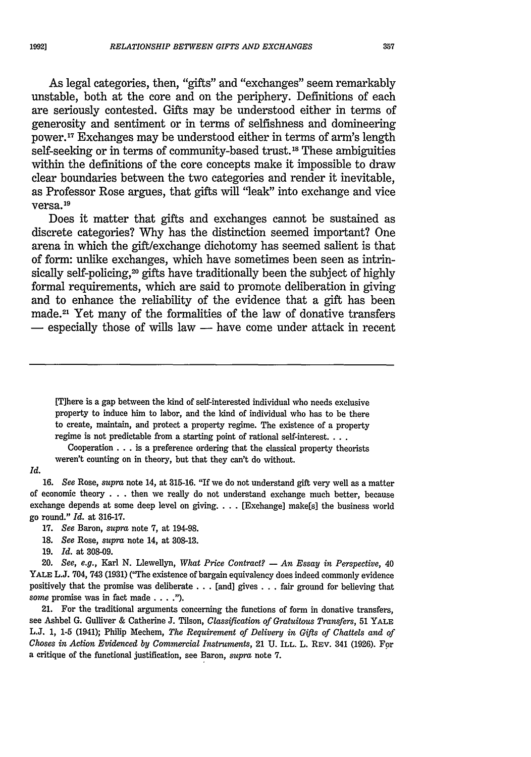1992]

As legal categories, then, "gifts" and "exchanges" seem remarkably unstable, both at the core and on the periphery. Definitions of each are seriously contested. Gifts may be understood either in terms of generosity and sentiment or in terms of selfishness and domineering power. 17 Exchanges may be understood either in terms of arm's length self-seeking or in terms of community-based trust.<sup>18</sup> These ambiguities within the definitions of the core concepts make it impossible to draw clear boundaries between the two categories and render it inevitable, as Professor Rose argues, that gifts will "leak" into exchange and vice versa.<sup>19</sup>

Does it matter that gifts and exchanges cannot be sustained as discrete categories? Why has the distinction seemed important? One arena in which the gift/exchange dichotomy has seemed salient is that of form: unlike exchanges, which have sometimes been seen as intrinsically self-policing,<sup>20</sup> gifts have traditionally been the subject of highly formal requirements, which are said to promote deliberation in giving and to enhance the reliability of the evidence that a gift has been made.<sup>21</sup> Yet many of the formalities of the law of donative transfers  $-$  especially those of wills law  $-$  have come under attack in recent

[T]here is a gap between the kind of self-interested individual who needs exclusive property to induce him to labor, and the kind of individual who has to be there to create, maintain, and protect a property regime. The existence of a property regime is not predictable from a starting point of rational self-interest....

Cooperation **. .** . is a preference ordering that the classical property theorists weren't counting on in theory, but that they can't do without.

## *Id.*

16. *See* Rose, *supra* note 14, at 315-16. "If we do not understand gift very well as a matter of economic theory . . **.** then we really do not understand exchange much better, because exchange depends at some deep level on giving. . . . [Exchange] make[s] the business world go round." *Id.* at 316-17.

- 17. *See* Baron, *supra* note 7, at 194-98.
- **18.** *See* Rose, *supra* note 14, at **308-13.**
- 19. *Id.* at **308-09.**

20. *See, e.g.,* Karl N. Llewellyn, *What Price Contract?* **-** *An Essay in Perspective,* 40 YALE L.J. 704, 743 (1931) ("The existence of bargain equivalency does indeed commonly evidence positively that the promise was deliberate **. .** . [and] gives . . . fair ground for believing that some promise was in fact made . **.. ").**

21. For the traditional arguments concerning the functions of form in donative transfers, see Ashbel G. Gulliver & Catherine J. Tilson, *Classification of Gratuitous Transfers,* 51 YALE L.J. 1, 1-5 (1941); Philip Mechem, *The Requirement of Delivery in Gifts of Chattels and of Choses in Action Evidenced by Commercial Instruments,* 21 U. ILL. L. REv. 341 (1926). For a critique of the functional justification, see Baron, *supra* note **7.**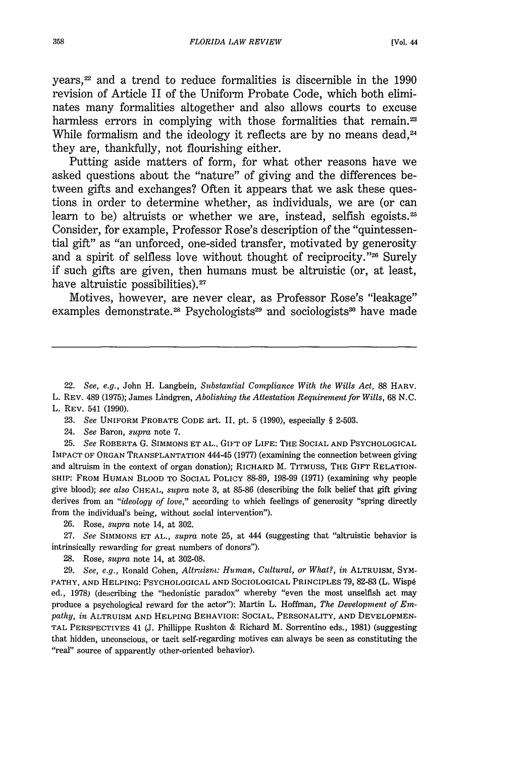years, 22 and a trend to reduce formalities is discernible in the 1990 revision of Article II of the Uniform Probate Code, which both eliminates many formalities altogether and also allows courts to excuse harmless errors in complying with those formalities that remain.<sup>23</sup> While formalism and the ideology it reflects are by no means dead. $24$ they are, thankfully, not flourishing either.

Putting aside matters of form, for what other reasons have we asked questions about the "nature" of giving and the differences between gifts and exchanges? Often it appears that we ask these questions in order to determine whether, as individuals, we are (or can learn to be) altruists or whether we are, instead, selfish egoists.<sup>25</sup> Consider, for example, Professor Rose's description of the "quintessential gift" as "an unforced, one-sided transfer, motivated by generosity and a spirit of selfless love without thought of reciprocity."<sup>26</sup> Surely if such gifts are given, then humans must be altruistic (or, at least, have altruistic possibilities). $27$ 

Motives, however, are never clear, as Professor Rose's "leakage" examples demonstrate.<sup>28</sup> Psychologists<sup>29</sup> and sociologists<sup>30</sup> have made

22. *See, e.g.,* John H. Langbein, *Substantial Compliance With the Wills Act,* 88 HARV. L. REV. 489 (1975); James Lindgren, *Abolishing the Attestation Requirement for Wills,* 68 N.C. L. REV. 541 (1990).

**23.** *See* UNIFORM PROBATE CODE art. II, pt. 5 (1990), especially § 2-503.

24. *See* Baron, *supra* note 7.

25. *See* ROBERTA G. SIMMONS ET AL., GIFT OF LIFE: THE SOCIAL AND PSYCHOLOGICAL IMPACT OF ORGAN TRANSPLANTATION 444-45 (1977) (examining the connection between giving and altruism in the context of organ donation); RICHARD M. TITMUSS, THE GIFT RELATION-SHIP: FROM HUMAN BLOOD TO SOCIAL POLICY 88-89, 198-99 (1971) (examining why people give blood); *see also* CHEAL, *supra* note 3, at 85-86 (describing the folk belief that gift giving derives from an *"ideology of love,"* according to which feelings of generosity "spring directly from the individual's being, without social intervention").

**26.** Rose, *supra* note 14, at **302.**

27. *See* SIMMONS ET AL., *supra* note 25, at 444 (suggesting that "altruistic behavior is intrinsically rewarding for great numbers of donors").

**28.** Rose, *supra* note 14, at **302-08.**

29. *See, e.g.,* Ronald Cohen, *Altrtism: Human, Cultural, or What?, in* ALTRUISM, SYM-PATHY, AND HELPING: PSYCHOLOGICAL AND SOCIOLOGICAL PRINCIPLES 79, 82-83 (L. Wispé ed., 1978) (describing the "hedonistic paradox" whereby "even the most unselfish act may produce a psychological reward for the actor"): Martin L. Hoffman, *The Development of Empathy, in* ALTRUISM AND HELPING BEHAVIOR: SOCIAL, PERSONALITY, AND DEVELOPMEN-TAL PERSPECTIVES 41 (J. Phillippe Rushton & Richard M. Sorrentino eds., **1981)** (suggesting that hidden, unconscious, or tacit self-regarding motives can always be seen as constituting the "real" source of apparently other-oriented behavior).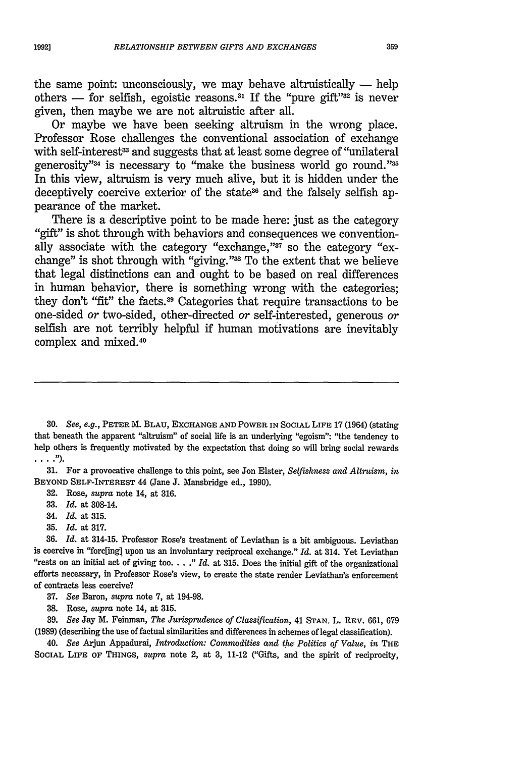the same point: unconsciously, we may behave altruistically  $-$  help others — for selfish, egoistic reasons.<sup>31</sup> If the "pure gift"<sup>32</sup> is never given, then maybe we are not altruistic after all.

Or maybe we have been seeking altruism in the wrong place. Professor Rose challenges the conventional association of exchange with self-interest<sup>33</sup> and suggests that at least some degree of "unilateral generosity"<sup>34</sup> is necessary to "make the business world go round."<sup>35</sup> In this view, altruism is very much alive, but it is hidden under the deceptively coercive exterior of the state<sup>36</sup> and the falsely selfish appearance of the market.

There is a descriptive point to be made here: just as the category "gift" is shot through with behaviors and consequences we conventionally associate with the category "exchange,"<sup>37</sup> so the category "exchange" is shot through with "giving."<sup>38</sup> To the extent that we believe that legal distinctions can and ought to be based on real differences in human behavior, there is something wrong with the categories; they don't "fit" the facts.3 9 Categories that require transactions to be one-sided *or* two-sided, other-directed or self-interested, generous *or* selfish are not terribly helpful if human motivations are inevitably complex and mixed.<sup>40</sup>

30. *See, e.g.,* PETER M. **BLAU, EXCHANGE AND** POWER IN SOCIAL **LIFE** 17 (1964) (stating that beneath the apparent "altruism" of social life is an underlying "egoism": "the tendency to help others is frequently motivated by the expectation that doing so will bring social rewards  $\ldots$  .").

31. For a provocative challenge to this point, see Jon Elster, *Selfishness and Altruism, in* BEYOND SELF-INTEREST 44 (Jane J. Mansbridge ed., 1990).

32. Rose, *supra* note 14, at 316.

- **33.** *Id.* at 308-14.
- 34. *Id.* at 315.
- **35.** *Id.* at 317.

**36.** *Id.* at 314-15. Professor Rose's treatment of Leviathan is a bit ambiguous. Leviathan is coercive in "forc[ing] upon us an involuntary reciprocal exchange." *Id.* at 314. Yet Leviathan "rests on an initial act of giving too. . . ." Id. at 315. Does the initial gift of the organizational efforts necessary, in Professor Rose's view, to create the state render Leviathan's enforcement of contracts less coercive?

37. *See* Baron, *supra* note **7,** at 194-98.

**38.** Rose, *supra* note 14, at 315.

**39.** *See* Jay M. Feinman, *The Jurisprudence of Classification,* 41 **STAN.** L. REV. 661, 679 (1989) (describing the use of factual similarities and differences in schemes of legal classification).

40. *See* Aijun Appadura, *Introduction: Commodities and the Politics of Value, in* THE SOCIAL LIFE **OF THINGS,** *supra* note 2, at **3,** 11-12 ("Gifts, and the spirit of reciprocity,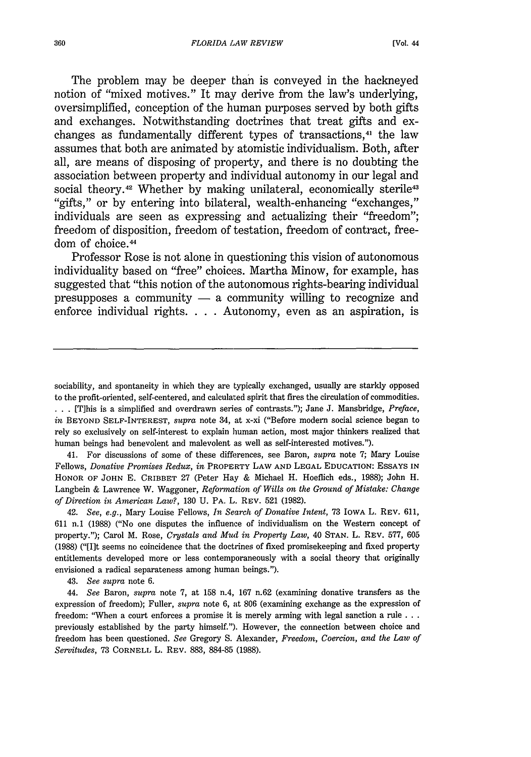The problem may be deeper than is conveyed in the hackneyed notion of "mixed motives." It may derive from the law's underlying, oversimplified, conception of the human purposes served by both gifts and exchanges. Notwithstanding doctrines that treat gifts and exchanges as fundamentally different types of transactions,<sup>41</sup> the law assumes that both are animated by atomistic individualism. Both, after all, are means of disposing of property, and there is no doubting the association between property and individual autonomy in our legal and social theory.<sup>42</sup> Whether by making unilateral, economically sterile<sup>43</sup> "gifts," or by entering into bilateral, wealth-enhancing "exchanges," individuals are seen as expressing and actualizing their "freedom"; freedom of disposition, freedom of testation, freedom of contract, freedom of choice.<sup>44</sup>

Professor Rose is not alone in questioning this vision of autonomous individuality based on "free" choices. Martha Minow, for example, has suggested that "this notion of the autonomous rights-bearing individual presupposes a community  $-$  a community willing to recognize and enforce individual rights. . **.** . Autonomy, even as an aspiration, is

sociability, and spontaneity in which they are typically exchanged, usually are starkly opposed to the profit-oriented, self-centered, and calculated spirit that fires the circulation of commodities.

**. . .** [T]his is a simplified and overdrawn series of contrasts."); Jane J. Mansbridge, *Preface, in* BEYOND SELF-INTEREST, *supra* note 34, at x-xi ("Before modern social science began to rely so exclusively on self-interest to explain human action, most major thinkers realized that human beings had benevolent and malevolent as well as self-interested motives.").

41. For discussions of some of these differences, see Baron, *supra* note 7; Mary Louise Fellows, *Donative Promises Redux, in* PROPERTY LAW **AND LEGAL EDUCATION: ESSAYS IN** HONOR OF **JOHN** E. CRIBBET 27 (Peter Hay & Michael H. Hoeflich eds., 1988); John H. Langbein & Lawrence W. Waggoner, *Reformation of Wills on the Ground of Mistake: Change of Direction in American Law?,* 130 U. PA. L. REv. 521 (1982).

42. *See, e.g.,* Mary Louise Fellows, *In Search of Donative Intent,* 73 IOWA L. REV. 611, 611 n.1 (1988) ("No one disputes the influence of individualism on the Western concept of property."); Carol M. Rose, *Crystals and Mud in Property Law,* 40 **STAN.** L. REV. 577, 605 (1988) ("[I]t seems no coincidence that the doctrines of fixed promisekeeping and fixed property entitlements developed more or less contemporaneously with a social theory that originally envisioned a radical separateness among human beings.").

43. *See supra* note 6.

44. *See* Baron, *supra* note 7, at 158 n.4, 167 n.62 (examining donative transfers as the expression of freedom); Fuller, *supra* note 6, at 806 (examining exchange as the expression of freedom: "When a court enforces a promise it is merely arming with legal sanction a rule **...** previously established by the party himself."). However, the connection between choice and freedom has been questioned. *See* Gregory S. Alexander, *Freedom, Coercion, and the Law of Servitudes,* 73 CORNELL L. REV. 883, 884-85 (1988).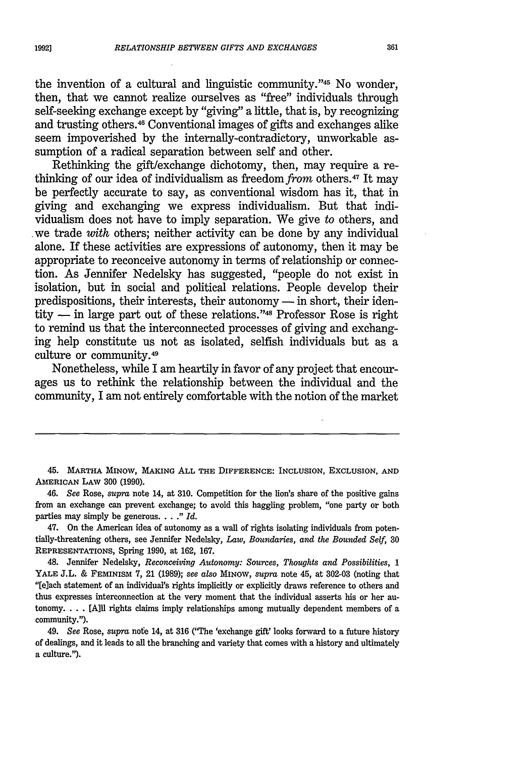the invention of a cultural and linguistic community."<sup>45</sup> No wonder, then, that we cannot realize ourselves as "free" individuals through self-seeking exchange except by "giving" a little, that is, by recognizing and trusting others. 46 Conventional images of gifts and exchanges alike seem impoverished by the internally-contradictory, unworkable assumption of a radical separation between self and other.

Rethinking the gift/exchange dichotomy, then, may require a rethinking of our idea of individualism as freedom from others. 47 It may be perfectly accurate to say, as conventional wisdom has it, that in giving and exchanging we express individualism. But that individualism does not have to imply separation. We give *to* others, and we trade *with* others; neither activity can be done by any individual alone. If these activities are expressions of autonomy, then it may be appropriate to reconceive autonomy in terms of relationship or connection. As Jennifer Nedelsky has suggested, "people do not exist in isolation, but in social and political relations. People develop their predispositions, their interests, their autonomy  $-$  in short, their identity **-** in large part out of these relations. ' 48 Professor Rose is right to remind us that the interconnected processes of giving and exchanging help constitute us not as isolated, selfish individuals but as a culture or community. <sup>49</sup>

Nonetheless, while I am heartily in favor of any project that encourages us to rethink the relationship between the individual and the community, I am not entirely comfortable with the notion of the market

45. **MARTHA MINOW, MAKING ALL THE DIFFERENCE: INCLUSION,** EXCLUSION, **AND AMERICAN** LAW **300 (1990).**

46. *See* Rose, *supra* **note 14,** at **310.** Competition for the lion's share of the positive gains from an exchange can prevent exchange; to avoid this haggling problem, "one party or both parties may simply be generous... *" Id.*

47. On the American idea of autonomy as a wall of rights isolating individuals from potentially-threatening others, see Jennifer Nedelsky, *Law, Boundaries, and the Bounded Self,* **30 REPRESENTATIONS,** Spring 1990, at 162, 167.

48. Jennifer Nedelsky, *Reconceiving Autonomy: Sources, Thoughts and Possibilities, 1* YALE J.L. & FEMINISM 7, 21 (1989); *see also* MINOW, *supra* note 45, at 302-03 (noting that "[e]ach statement of an individual's rights implicitly or explicitly draws reference to others and thus expresses interconnection at the very moment that the individual asserts his or her autonomy. . . . [A]ll rights claims imply relationships among mutually dependent members of a community.").

49. *See* Rose, *supra* nofe 14, at **316** ('"he 'exchange gift' looks forward to a future history of dealings, and it leads to all the branching and variety that comes with a history and ultimately a culture.").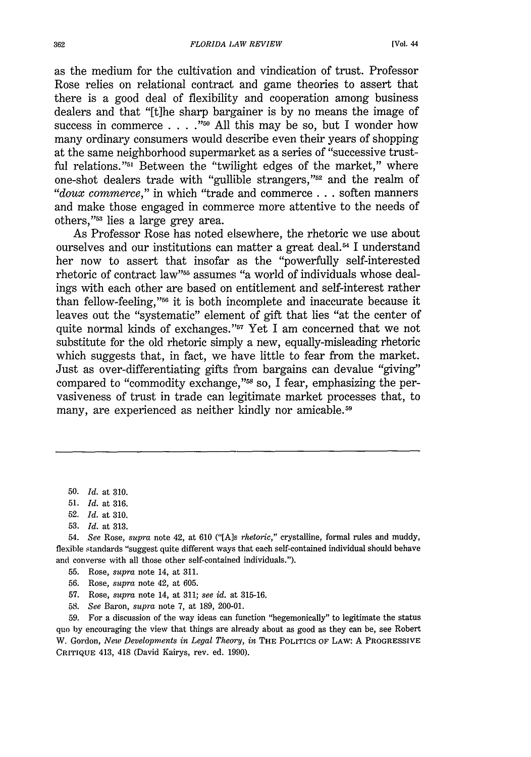as the medium for the cultivation and vindication of trust. Professor Rose relies on relational contract and game theories to assert that there is a good deal of flexibility and cooperation among business dealers and that "[t]he sharp bargainer is by no means the image of success in commerce . . . .<sup>"50</sup> All this may be so, but I wonder how many ordinary consumers would describe even their years of shopping at the same neighborhood supermarket as a series of "successive trustful relations."<sup>51</sup> Between the "twilight edges of the market," where one-shot dealers trade with "gullible strangers,"<sup>52</sup> and the realm of *"doux commerce,"* in which "trade and commerce **...** soften manners and make those engaged in commerce more attentive to the needs of others."<sup>53</sup> lies a large grey area.

As Professor Rose has noted elsewhere, the rhetoric we use about ourselves and our institutions can matter a great deal.<sup>54</sup> I understand her now to assert that insofar as the "powerfully self-interested rhetoric of contract law"<sup>55</sup> assumes "a world of individuals whose dealings with each other are based on entitlement and self-interest rather than fellow-feeling,"<sup>56</sup> it is both incomplete and inaccurate because it leaves out the "systematic" element of gift that lies "at the center of quite normal kinds of exchanges."<sup>57</sup> Yet I am concerned that we not substitute for the old rhetoric simply a new, equally-misleading rhetoric which suggests that, in fact, we have little to fear from the market. Just as over-differentiating gifts from bargains can devalue "giving' compared to "commodity exchange,"<sup>58</sup> so, I fear, emphasizing the pervasiveness of trust in trade can legitimate market processes that, to many, are experienced as neither kindly nor amicable.<sup>59</sup>

50. *Id.* at 310.

- 52. *Id.* at 310.
- 53. *Id.* at 313.

54. *See* Rose, *supra* note 42, at 610 ("[A]s *rhetoric,"* crystalline, formal rules and muddy, flexible standards "suggest quite different ways that each self-contained individual should behave and converse with all those other self-contained individuals.").

- 55. Rose, *supra* note 14, at 311.
- 56. Rose, *supra* note 42, at 605.
- 57. Rose, *supra* note 14, at 311; *see id.* at 315-16.
- **58.** *See* Baron, *supra* note 7, at 189, 200-01.

59. For a discussion of the way ideas can function "hegemonically" to legitimate the status quo by encouraging the view that things are already about as good as they can be, see Robert W. Gordon, *New Developments in Legal Theory, in* THE POLITICS OF LAW: A PROGRESSIVE **CRITIQUE** 413, 418 (David Kairys, rev. ed. 1990).

<sup>51.</sup> *Id.* at 316.